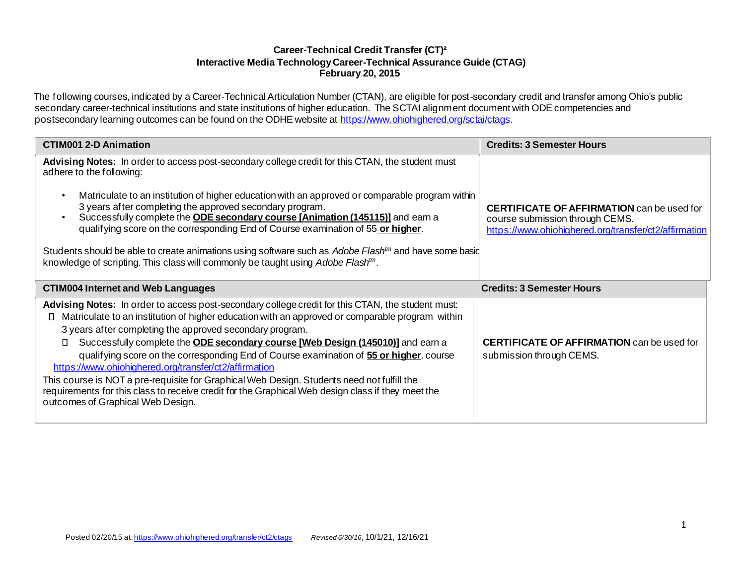# **Career-Technical Credit Transfer (CT)² Interactive Media Technology Career-Technical Assurance Guide (CTAG) February 20, 2015**

The following courses, indicated by a Career-Technical Articulation Number (CTAN), are eligible for post-secondary credit and transfer among Ohio's public secondary career-technical institutions and state institutions of higher education. The SCTAI alignment document with ODE competencies and postsecondary learning outcomes can be found on the ODHE website a[t https://www.ohiohighered.org/sctai/ctags.](https://www.ohiohighered.org/sctai/ctags)

| <b>CTIM001 2-D Animation</b>                                                                                                                                                                                                                                                                                                                                                                                                                                                                                                                                                                                                                                                                                                                                   | <b>Credits: 3 Semester Hours</b>                                                                                                              |
|----------------------------------------------------------------------------------------------------------------------------------------------------------------------------------------------------------------------------------------------------------------------------------------------------------------------------------------------------------------------------------------------------------------------------------------------------------------------------------------------------------------------------------------------------------------------------------------------------------------------------------------------------------------------------------------------------------------------------------------------------------------|-----------------------------------------------------------------------------------------------------------------------------------------------|
| Advising Notes: In order to access post-secondary college credit for this CTAN, the student must<br>adhere to the following:<br>Matriculate to an institution of higher education with an approved or comparable program within<br>3 years after completing the approved secondary program.<br>Successfully complete the <b>ODE secondary course [Animation (145115)]</b> and earn a<br>qualifying score on the corresponding End of Course examination of 55 or higher.<br>Students should be able to create animations using software such as Adobe Flash <sup>tm</sup> and have some basic                                                                                                                                                                  | <b>CERTIFICATE OF AFFIRMATION</b> can be used for<br>course submission through CEMS.<br>https://www.ohiohighered.org/transfer/ct2/affirmation |
| knowledge of scripting. This class will commonly be taught using Adobe Flash <sup>tm</sup> .                                                                                                                                                                                                                                                                                                                                                                                                                                                                                                                                                                                                                                                                   |                                                                                                                                               |
| <b>CTIM004 Internet and Web Languages</b>                                                                                                                                                                                                                                                                                                                                                                                                                                                                                                                                                                                                                                                                                                                      | <b>Credits: 3 Semester Hours</b>                                                                                                              |
| Advising Notes: In order to access post-secondary college credit for this CTAN, the student must:<br>Matriculate to an institution of higher education with an approved or comparable program within<br>Ш<br>3 years after completing the approved secondary program.<br>Successfully complete the ODE secondary course [Web Design (145010)] and earn a<br>$\Box$<br>qualifying score on the corresponding End of Course examination of 55 or higher. course<br>https://www.ohiohighered.org/transfer/ct2/affirmation<br>This course is NOT a pre-requisite for Graphical Web Design. Students need not fulfill the<br>requirements for this class to receive credit for the Graphical Web design class if they meet the<br>outcomes of Graphical Web Design. | <b>CERTIFICATE OF AFFIRMATION</b> can be used for<br>submission through CEMS.                                                                 |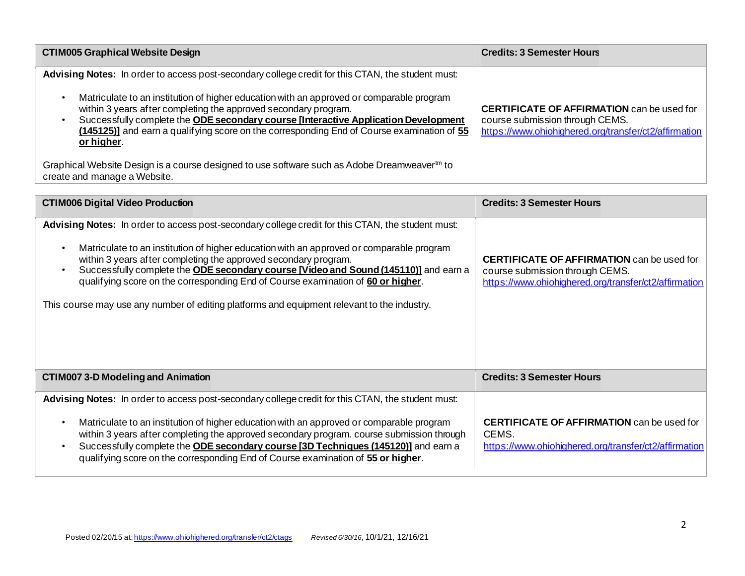| <b>CTIM005 Graphical Website Design</b>                                                                                                                                                                                                                                                                                                                                                                                                                             | <b>Credits: 3 Semester Hours</b>                                                                                                              |
|---------------------------------------------------------------------------------------------------------------------------------------------------------------------------------------------------------------------------------------------------------------------------------------------------------------------------------------------------------------------------------------------------------------------------------------------------------------------|-----------------------------------------------------------------------------------------------------------------------------------------------|
| Advising Notes: In order to access post-secondary college credit for this CTAN, the student must:<br>Matriculate to an institution of higher education with an approved or comparable program<br>within 3 years after completing the approved secondary program.<br>Successfully complete the ODE secondary course [Interactive Application Development<br>(145125)] and earn a qualifying score on the corresponding End of Course examination of 55<br>or higher. | <b>CERTIFICATE OF AFFIRMATION</b> can be used for<br>course submission through CEMS.<br>https://www.ohiohighered.org/transfer/ct2/affirmation |
| Graphical Website Design is a course designed to use software such as Adobe Dreamweaver <sup>th</sup> to<br>create and manage a Website.                                                                                                                                                                                                                                                                                                                            |                                                                                                                                               |

| <b>CTIM006 Digital Video Production</b>                                                                                                                                                                                                                                                                                                                                                                                                                                                                                                             | <b>Credits: 3 Semester Hours</b>                                                                                                              |
|-----------------------------------------------------------------------------------------------------------------------------------------------------------------------------------------------------------------------------------------------------------------------------------------------------------------------------------------------------------------------------------------------------------------------------------------------------------------------------------------------------------------------------------------------------|-----------------------------------------------------------------------------------------------------------------------------------------------|
| Advising Notes: In order to access post-secondary college credit for this CTAN, the student must:<br>Matriculate to an institution of higher education with an approved or comparable program<br>within 3 years after completing the approved secondary program.<br>Successfully complete the <b>ODE secondary course [Video and Sound (145110)</b> ] and earn a<br>qualifying score on the corresponding End of Course examination of 60 or higher.<br>This course may use any number of editing platforms and equipment relevant to the industry. | <b>CERTIFICATE OF AFFIRMATION</b> can be used for<br>course submission through CEMS.<br>https://www.ohiohighered.org/transfer/ct2/affirmation |
| <b>CTIM007 3-D Modeling and Animation</b>                                                                                                                                                                                                                                                                                                                                                                                                                                                                                                           | <b>Credits: 3 Semester Hours</b>                                                                                                              |
| Advising Notes: In order to access post-secondary college credit for this CTAN, the student must:<br>Matriculate to an institution of higher education with an approved or comparable program<br>within 3 years after completing the approved secondary program. course submission through<br>Successfully complete the <b>ODE secondary course [3D Techniques (145120)</b> ] and earn a<br>qualifying score on the corresponding End of Course examination of 55 or higher.                                                                        | <b>CERTIFICATE OF AFFIRMATION</b> can be used for<br>CEMS.<br>https://www.ohiohighered.org/transfer/ct2/affirmation                           |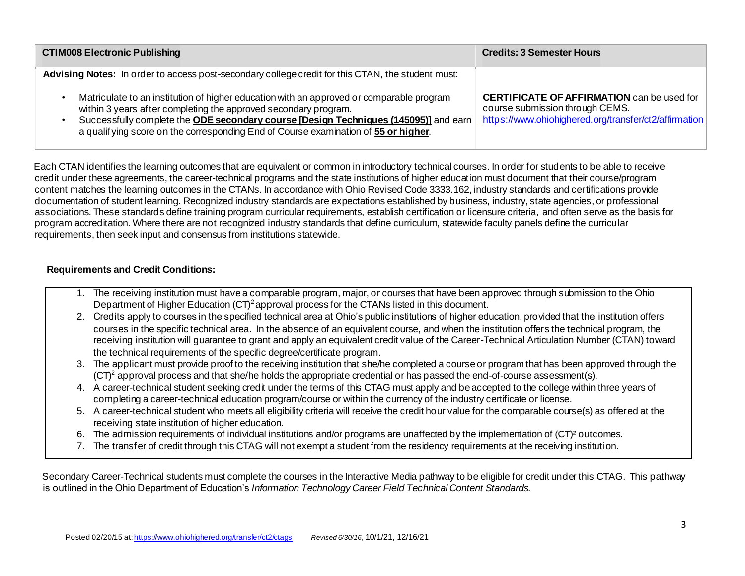| <b>CTIM008 Electronic Publishing</b>                                                                                                                                                                                                                                                                                                      | <b>Credits: 3 Semester Hours</b>                                                                                                              |
|-------------------------------------------------------------------------------------------------------------------------------------------------------------------------------------------------------------------------------------------------------------------------------------------------------------------------------------------|-----------------------------------------------------------------------------------------------------------------------------------------------|
| Advising Notes: In order to access post-secondary college credit for this CTAN, the student must:                                                                                                                                                                                                                                         |                                                                                                                                               |
| Matriculate to an institution of higher education with an approved or comparable program<br>within 3 years after completing the approved secondary program.<br>Successfully complete the ODE secondary course [Design Techniques (145095)] and earn<br>a qualifying score on the corresponding End of Course examination of 55 or higher. | <b>CERTIFICATE OF AFFIRMATION</b> can be used for<br>course submission through CEMS.<br>https://www.ohiohighered.org/transfer/ct2/affirmation |

Each CTAN identifies the learning outcomes that are equivalent or common in introductory technical courses. In order for students to be able to receive credit under these agreements, the career-technical programs and the state institutions of higher education must document that their course/program content matches the learning outcomes in the CTANs. In accordance with Ohio Revised Code 3333.162, industry standards and certifications provide documentation of student learning. Recognized industry standards are expectations established by business, industry, state agencies, or professional associations. These standards define training program curricular requirements, establish certification or licensure criteria, and often serve as the basis for program accreditation. Where there are not recognized industry standards that define curriculum, statewide faculty panels define the curricular requirements, then seek input and consensus from institutions statewide.

## **Requirements and Credit Conditions:**

- 1. The receiving institution must have a comparable program, major, or courses that have been approved through submission to the Ohio Department of Higher Education  $(CT)^2$  approval process for the CTANs listed in this document.
- 2. Credits apply to courses in the specified technical area at Ohio's public institutions of higher education, provided that the institution offers courses in the specific technical area. In the absence of an equivalent course, and when the institution offers the technical program, the receiving institution will guarantee to grant and apply an equivalent credit value of the Career-Technical Articulation Number (CTAN) toward the technical requirements of the specific degree/certificate program.
- 3. The applicant must provide proof to the receiving institution that she/he completed a course or program that has been approved through the  $(CT)^2$  approval process and that she/he holds the appropriate credential or has passed the end-of-course assessment(s).
- 4. A career-technical student seeking credit under the terms of this CTAG must apply and be accepted to the college within three years of completing a career-technical education program/course or within the currency of the industry certificate or license.
- 5. A career-technical student who meets all eligibility criteria will receive the credit hour value for the comparable course(s) as offered at the receiving state institution of higher education.
- 6. The admission requirements of individual institutions and/or programs are unaffected by the implementation of (CT)² outcomes.
- 7. The transfer of credit through this CTAG will not exempt a student from the residency requirements at the receiving institution.

Secondary Career-Technical students must complete the courses in the Interactive Media pathway to be eligible for credit under this CTAG. This pathway is outlined in the Ohio Department of Education's *Information Technology Career Field Technical Content Standards.*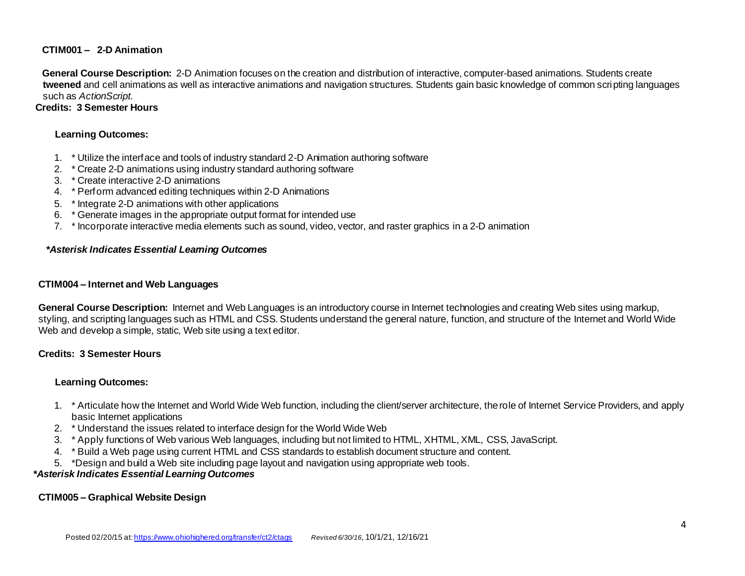## **CTIM001 – 2-D Animation**

**General Course Description:** 2-D Animation focuses on the creation and distribution of interactive, computer-based animations. Students create **tweened** and cell animations as well as interactive animations and navigation structures. Students gain basic knowledge of common scripting languages such as *ActionScript*.

## **Credits: 3 Semester Hours**

## **Learning Outcomes:**

- 1. \* Utilize the interface and tools of industry standard 2-D Animation authoring software
- 2. \* Create 2-D animations using industry standard authoring software
- 3. \* Create interactive 2-D animations
- 4. \* Perform advanced editing techniques within 2-D Animations
- 5. \* Integrate 2-D animations with other applications
- 6. \* Generate images in the appropriate output format for intended use
- 7. \* Incorporate interactive media elements such as sound, video, vector, and raster graphics in a 2-D animation

## *\*Asterisk Indicates Essential Learning Outcomes*

### **CTIM004 – Internet and Web Languages**

**General Course Description:** Internet and Web Languages is an introductory course in Internet technologies and creating Web sites using markup, styling, and scripting languages such as HTML and CSS. Students understand the general nature, function, and structure of the Internet and World Wide Web and develop a simple, static, Web site using a text editor.

## **Credits: 3 Semester Hours**

### **Learning Outcomes:**

- 1. \* Articulate how the Internet and World Wide Web function, including the client/server architecture, the role of Internet Service Providers, and apply basic Internet applications
- 2. \* Understand the issues related to interface design for the World Wide Web
- 3. \* Apply functions of Web various Web languages, including but not limited to HTML, XHTML, XML, CSS, JavaScript.
- 4. \* Build a Web page using current HTML and CSS standards to establish document structure and content.
- 5. \*Design and build a Web site including page layout and navigation using appropriate web tools.

### *\*Asterisk Indicates Essential Learning Outcomes*

## **CTIM005 – Graphical Website Design**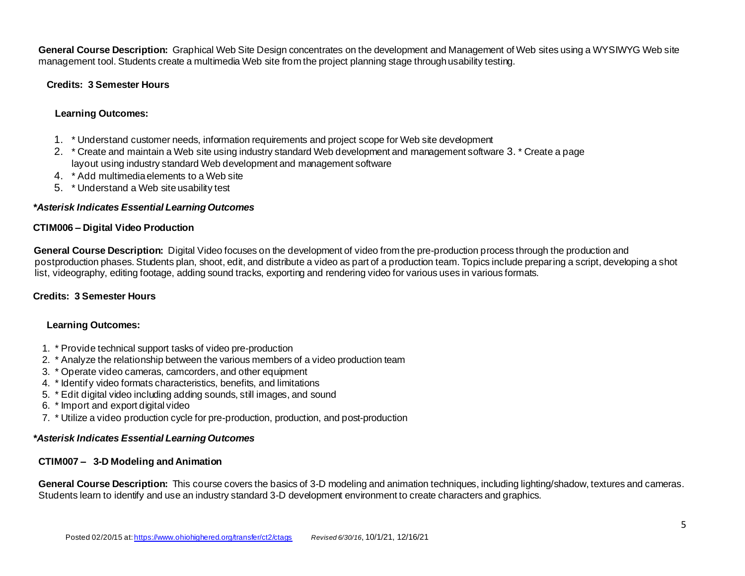**General Course Description:** Graphical Web Site Design concentrates on the development and Management of Web sites using a WYSIWYG Web site management tool. Students create a multimedia Web site from the project planning stage through usability testing.

## **Credits: 3 Semester Hours**

## **Learning Outcomes:**

- 1. \* Understand customer needs, information requirements and project scope for Web site development
- 2. \* Create and maintain a Web site using industry standard Web development and management software 3. \* Create a page layout using industry standard Web development and management software
- 4. \* Add multimedia elements to a Web site
- 5. \* Understand a Web site usability test

## *\*Asterisk Indicates Essential Learning Outcomes*

### **CTIM006 – Digital Video Production**

**General Course Description:** Digital Video focuses on the development of video from the pre-production process through the production and postproduction phases. Students plan, shoot, edit, and distribute a video as part of a production team. Topics include preparing a script, developing a shot list, videography, editing footage, adding sound tracks, exporting and rendering video for various uses in various formats.

### **Credits: 3 Semester Hours**

### **Learning Outcomes:**

- 1. \* Provide technical support tasks of video pre-production
- 2. \* Analyze the relationship between the various members of a video production team
- 3. \* Operate video cameras, camcorders, and other equipment
- 4. \* Identify video formats characteristics, benefits, and limitations
- 5. \* Edit digital video including adding sounds, still images, and sound
- 6. \* Import and export digital video
- 7. \* Utilize a video production cycle for pre-production, production, and post-production

#### *\*Asterisk Indicates Essential Learning Outcomes*

### **CTIM007 – 3-D Modeling and Animation**

**General Course Description:** This course covers the basics of 3-D modeling and animation techniques, including lighting/shadow, textures and cameras. Students learn to identify and use an industry standard 3-D development environment to create characters and graphics.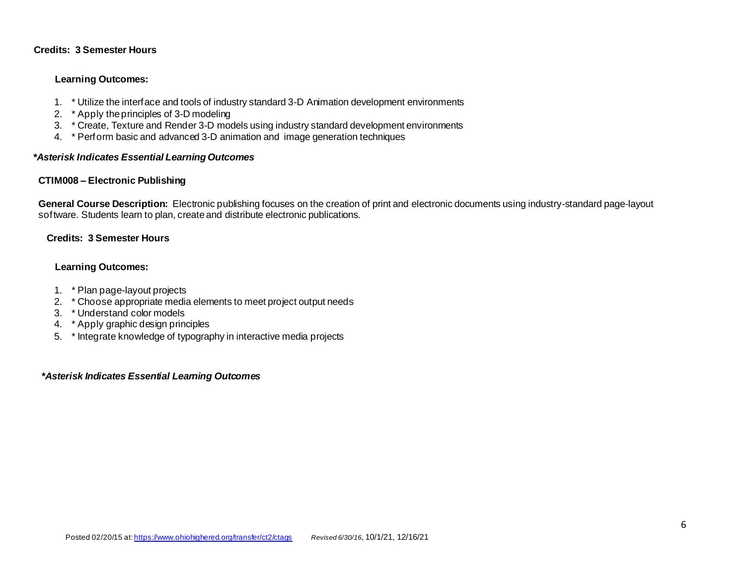## **Credits: 3 Semester Hours**

## **Learning Outcomes:**

- 1. \* Utilize the interface and tools of industry standard 3-D Animation development environments
- 2. \* Apply the principles of 3-D modeling
- 3. \* Create, Texture and Render 3-D models using industry standard development environments
- 4. \* Perform basic and advanced 3-D animation and image generation techniques

#### *\*Asterisk Indicates Essential Learning Outcomes*

### **CTIM008 – Electronic Publishing**

**General Course Description:** Electronic publishing focuses on the creation of print and electronic documents using industry-standard page-layout software. Students learn to plan, create and distribute electronic publications.

### **Credits: 3 Semester Hours**

## **Learning Outcomes:**

- 1. \* Plan page-layout projects
- 2. \* Choose appropriate media elements to meet project output needs
- 3. \* Understand color models
- 4. \* Apply graphic design principles
- 5. \* Integrate knowledge of typography in interactive media projects

#### *\*Asterisk Indicates Essential Learning Outcomes*